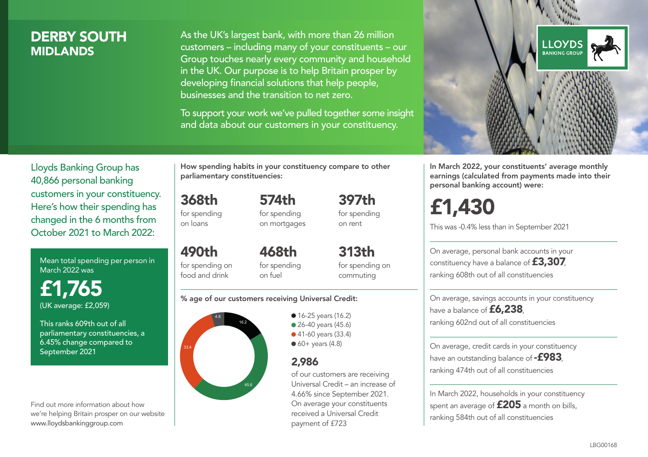### DERBY SOUTH **MIDI ANDS**

As the UK's largest bank, with more than 26 million customers – including many of your constituents – our Group touches nearly every community and household in the UK. Our purpose is to help Britain prosper by developing financial solutions that help people, businesses and the transition to net zero.

To support your work we've pulled together some insight and data about our customers in your constituency.



Mean total spending per person in March 2022 was

£1,765 (UK average: £2,059)

This ranks 609th out of all parliamentary constituencies, a 6.45% change compared to September 2021

Find out more information about how we're helping Britain prosper on our website www.lloydsbankinggroup.com

How spending habits in your constituency compare to other parliamentary constituencies:

368th for spending on loans

490th for spending on food and drink

574th for spending on mortgages 397th for spending on rent

468th for spending on fuel

313th for spending on commuting

#### % age of our customers receiving Universal Credit:



• 16-25 years (16.2) • 26-40 years (45.6) ● 41-60 years (33.4)  $60+$  years (4.8)

### 2,986

of our customers are receiving Universal Credit – an increase of 4.66% since September 2021. On average your constituents received a Universal Credit payment of £723



In March 2022, your constituents' average monthly earnings (calculated from payments made into their personal banking account) were:

# £1,430

This was -0.4% less than in September 2021

On average, personal bank accounts in your constituency have a balance of £3,307, ranking 608th out of all constituencies

On average, savings accounts in your constituency have a balance of **£6,238**, ranking 602nd out of all constituencies

On average, credit cards in your constituency have an outstanding balance of  $-$ £983. ranking 474th out of all constituencies

In March 2022, households in your constituency spent an average of  $£205$  a month on bills, ranking 584th out of all constituencies